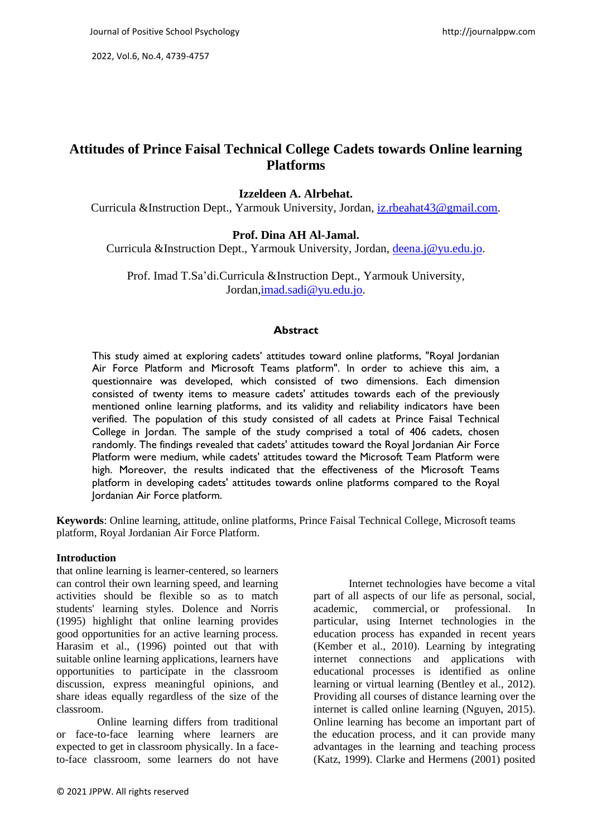2022, Vol.6, No.4, 4739-4757

# **Attitudes of Prince Faisal Technical College Cadets towards Online learning Platforms**

# **Izzeldeen A. Alrbehat.**

Curricula &Instruction Dept., Yarmouk University, Jordan, [iz.rbeahat43@gmail.com.](mailto:iz.rbeahat43@gmail.com)

# **Prof. Dina AH Al-Jamal.**

Curricula &Instruction Dept., Yarmouk University, Jordan, [deena.j@yu.edu.jo.](mailto:deena.j@yu.edu.jo)

Prof. Imad T.Sa'di.Curricula &Instruction Dept., Yarmouk University, Jordan[,imad.sadi@yu.edu.jo.](mailto:imad.sadi@yu.edu.jo)

# **Abstract**

This study aimed at exploring cadets' attitudes toward online platforms, "Royal Jordanian Air Force Platform and Microsoft Teams platform". In order to achieve this aim, a questionnaire was developed, which consisted of two dimensions. Each dimension consisted of twenty items to measure cadets' attitudes towards each of the previously mentioned online learning platforms, and its validity and reliability indicators have been verified. The population of this study consisted of all cadets at Prince Faisal Technical College in Jordan. The sample of the study comprised a total of 406 cadets, chosen randomly. The findings revealed that cadets' attitudes toward the Royal Jordanian Air Force Platform were medium, while cadets' attitudes toward the Microsoft Team Platform were high. Moreover, the results indicated that the effectiveness of the Microsoft Teams platform in developing cadets' attitudes towards online platforms compared to the Royal Jordanian Air Force platform.

**Keywords**: Online learning, attitude, online platforms, Prince Faisal Technical College, Microsoft teams platform, Royal Jordanian Air Force Platform.

### **Introduction**

that online learning is learner-centered, so learners can control their own learning speed, and learning activities should be flexible so as to match students' learning styles. Dolence and Norris (1995) highlight that online learning provides good opportunities for an active learning process. Harasim et al., (1996) pointed out that with suitable online learning applications, learners have opportunities to participate in the classroom discussion, express meaningful opinions, and share ideas equally regardless of the size of the classroom.

 Online learning differs from traditional or face-to-face learning where learners are expected to get in classroom physically. In a faceto-face classroom, some learners do not have

Internet technologies have become a vital part of all aspects of our life as personal, social, academic, commercial, or professional. In particular, using Internet technologies in the education process has expanded in recent years (Kember et al., 2010). Learning by integrating internet connections and applications with educational processes is identified as online learning or virtual learning (Bentley et al., 2012). Providing all courses of distance learning over the internet is called online learning (Nguyen, 2015). Online learning has become an important part of the education process, and it can provide many advantages in the learning and teaching process (Katz, 1999). Clarke and Hermens (2001) posited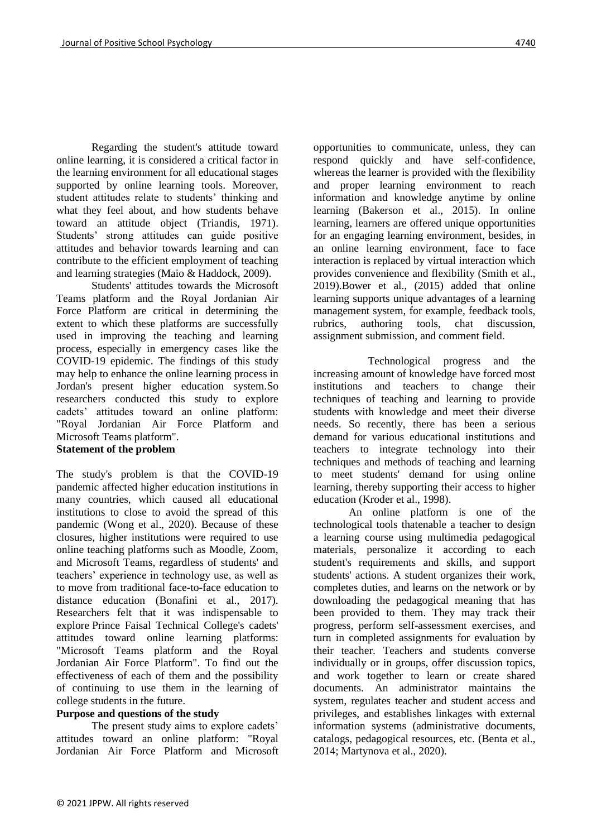Regarding the student's attitude toward online learning, it is considered a critical factor in the learning environment for all educational stages supported by online learning tools. Moreover, student attitudes relate to students' thinking and what they feel about, and how students behave toward an attitude object (Triandis, 1971). Students' strong attitudes can guide positive attitudes and behavior towards learning and can contribute to the efficient employment of teaching and learning strategies (Maio & Haddock, 2009).

Students' attitudes towards the Microsoft Teams platform and the Royal Jordanian Air Force Platform are critical in determining the extent to which these platforms are successfully used in improving the teaching and learning process, especially in emergency cases like the COVID-19 epidemic. The findings of this study may help to enhance the online learning process in Jordan's present higher education system.So researchers conducted this study to explore cadets' attitudes toward an online platform: "Royal Jordanian Air Force Platform and Microsoft Teams platform".

### **Statement of the problem**

The study's problem is that the COVID-19 pandemic affected higher education institutions in many countries, which caused all educational institutions to close to avoid the spread of this pandemic (Wong et al., 2020). Because of these closures, higher institutions were required to use online teaching platforms such as Moodle, Zoom, and Microsoft Teams, regardless of students' and teachers' experience in technology use, as well as to move from traditional face-to-face education to distance education (Bonafini et al., 2017). Researchers felt that it was indispensable to explore Prince Faisal Technical College's cadets' attitudes toward online learning platforms: "Microsoft Teams platform and the Royal Jordanian Air Force Platform". To find out the effectiveness of each of them and the possibility of continuing to use them in the learning of college students in the future.

# **Purpose and questions of the study**

The present study aims to explore cadets' attitudes toward an online platform: "Royal Jordanian Air Force Platform and Microsoft opportunities to communicate, unless, they can respond quickly and have self-confidence, whereas the learner is provided with the flexibility and proper learning environment to reach information and knowledge anytime by online learning (Bakerson et al., 2015). In online learning, learners are offered unique opportunities for an engaging learning environment, besides, in an online learning environment, face to face interaction is replaced by virtual interaction which provides convenience and flexibility (Smith et al., 2019).Bower et al., (2015) added that online learning supports unique advantages of a learning management system, for example, feedback tools, rubrics, authoring tools, chat discussion, assignment submission, and comment field.

 Technological progress and the increasing amount of knowledge have forced most institutions and teachers to change their techniques of teaching and learning to provide students with knowledge and meet their diverse needs. So recently, there has been a serious demand for various educational institutions and teachers to integrate technology into their techniques and methods of teaching and learning to meet students' demand for using online learning, thereby supporting their access to higher education (Kroder et al., 1998).

An online platform is one of the technological tools thatenable a teacher to design a learning course using multimedia pedagogical materials, personalize it according to each student's requirements and skills, and support students' actions. A student organizes their work, completes duties, and learns on the network or by downloading the pedagogical meaning that has been provided to them. They may track their progress, perform self-assessment exercises, and turn in completed assignments for evaluation by their teacher. Teachers and students converse individually or in groups, offer discussion topics, and work together to learn or create shared documents. An administrator maintains the system, regulates teacher and student access and privileges, and establishes linkages with external information systems (administrative documents, catalogs, pedagogical resources, etc. (Benta et al., 2014; Martynova et al., 2020).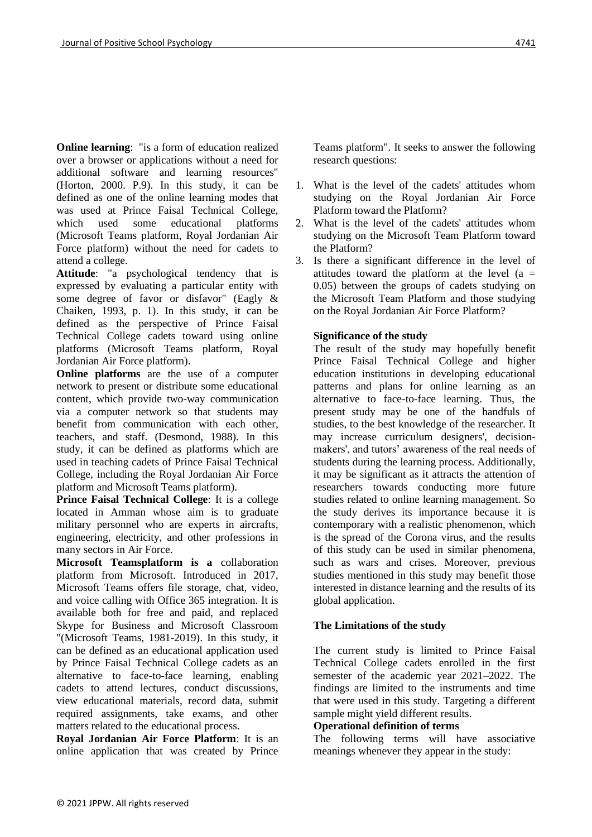**Online learning**: "is a form of education realized over a browser or applications without a need for additional software and learning resources" (Horton, 2000. P.9). In this study, it can be defined as one of the online learning modes that was used at Prince Faisal Technical College, which used some educational platforms (Microsoft Teams platform, Royal Jordanian Air Force platform) without the need for cadets to attend a college.

**Attitude**: "a psychological tendency that is expressed by evaluating a particular entity with some degree of favor or disfavor" (Eagly & Chaiken, 1993, p. 1). In this study, it can be defined as the perspective of Prince Faisal Technical College cadets toward using online platforms (Microsoft Teams platform, Royal Jordanian Air Force platform).

**Online platforms** are the use of a computer network to present or distribute some educational content, which provide two-way communication via a computer network so that students may benefit from communication with each other, teachers, and staff. (Desmond, 1988). In this study, it can be defined as platforms which are used in teaching cadets of Prince Faisal Technical College, including the Royal Jordanian Air Force platform and Microsoft Teams platform).

**Prince Faisal Technical College**: It is a college located in Amman whose aim is to graduate military personnel who are experts in aircrafts, engineering, electricity, and other professions in many sectors in Air Force.

**Microsoft Teamsplatform is a** collaboration platform from Microsoft. Introduced in 2017, Microsoft Teams offers file storage, chat, video, and voice calling with Office 365 integration. It is available both for free and paid, and replaced Skype for Business and Microsoft Classroom "(Microsoft Teams, 1981-2019). In this study, it can be defined as an educational application used by Prince Faisal Technical College cadets as an alternative to face-to-face learning, enabling cadets to attend lectures, conduct discussions, view educational materials, record data, submit required assignments, take exams, and other matters related to the educational process.

**Royal Jordanian Air Force Platform**: It is an online application that was created by Prince

Teams platform". It seeks to answer the following research questions:

- 1. What is the level of the cadets' attitudes whom studying on the Royal Jordanian Air Force Platform toward the Platform?
- 2. What is the level of the cadets' attitudes whom studying on the Microsoft Team Platform toward the Platform?
- 3. Is there a significant difference in the level of attitudes toward the platform at the level  $(a =$ 0.05) between the groups of cadets studying on the Microsoft Team Platform and those studying on the Royal Jordanian Air Force Platform?

# **Significance of the study**

The result of the study may hopefully benefit Prince Faisal Technical College and higher education institutions in developing educational patterns and plans for online learning as an alternative to face-to-face learning. Thus, the present study may be one of the handfuls of studies, to the best knowledge of the researcher. It may increase curriculum designers', decisionmakers', and tutors' awareness of the real needs of students during the learning process. Additionally, it may be significant as it attracts the attention of researchers towards conducting more future studies related to online learning management. So the study derives its importance because it is contemporary with a realistic phenomenon, which is the spread of the Corona virus, and the results of this study can be used in similar phenomena, such as wars and crises. Moreover, previous studies mentioned in this study may benefit those interested in distance learning and the results of its global application.

### **The Limitations of the study**

The current study is limited to Prince Faisal Technical College cadets enrolled in the first semester of the academic year 2021–2022. The findings are limited to the instruments and time that were used in this study. Targeting a different sample might yield different results.

### **Operational definition of terms**

The following terms will have associative meanings whenever they appear in the study: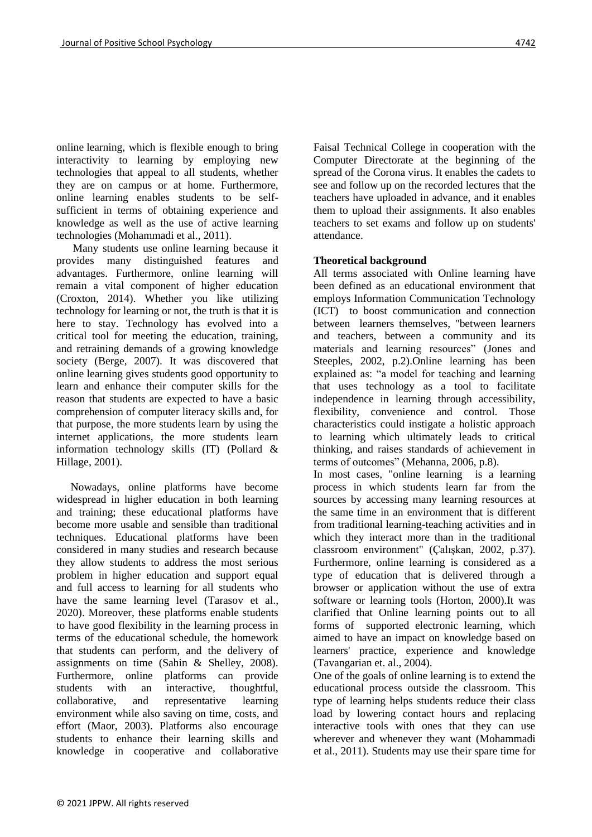online learning, which is flexible enough to bring interactivity to learning by employing new technologies that appeal to all students, whether they are on campus or at home. Furthermore, online learning enables students to be selfsufficient in terms of obtaining experience and knowledge as well as the use of active learning technologies (Mohammadi et al., 2011).

 Many students use online learning because it provides many distinguished features and advantages. Furthermore, online learning will remain a vital component of higher education (Croxton, 2014). Whether you like utilizing technology for learning or not, the truth is that it is here to stay. Technology has evolved into a critical tool for meeting the education, training, and retraining demands of a growing knowledge society (Berge, 2007). It was discovered that online learning gives students good opportunity to learn and enhance their computer skills for the reason that students are expected to have a basic comprehension of computer literacy skills and, for that purpose, the more students learn by using the internet applications, the more students learn information technology skills (IT) (Pollard & Hillage, 2001).

 Nowadays, online platforms have become widespread in higher education in both learning and training; these educational platforms have become more usable and sensible than traditional techniques. Educational platforms have been considered in many studies and research because they allow students to address the most serious problem in higher education and support equal and full access to learning for all students who have the same learning level (Tarasov et al., 2020). Moreover, these platforms enable students to have good flexibility in the learning process in terms of the educational schedule, the homework that students can perform, and the delivery of assignments on time (Sahin & Shelley, 2008). Furthermore, online platforms can provide students with an interactive, thoughtful, collaborative, and representative learning environment while also saving on time, costs, and effort (Maor, 2003). Platforms also encourage students to enhance their learning skills and knowledge in cooperative and collaborative

Faisal Technical College in cooperation with the Computer Directorate at the beginning of the spread of the Corona virus. It enables the cadets to see and follow up on the recorded lectures that the teachers have uploaded in advance, and it enables them to upload their assignments. It also enables teachers to set exams and follow up on students' attendance.

# **Theoretical background**

All terms associated with Online learning have been defined as an educational environment that employs Information Communication Technology (ICT) to boost communication and connection between learners themselves, "between learners and teachers, between a community and its materials and learning resources" (Jones and Steeples, 2002, p.2).Online learning has been explained as: "a model for teaching and learning that uses technology as a tool to facilitate independence in learning through accessibility, flexibility, convenience and control. Those characteristics could instigate a holistic approach to learning which ultimately leads to critical thinking, and raises standards of achievement in terms of outcomes" (Mehanna, 2006, p.8).

In most cases, "online learning is a learning process in which students learn far from the sources by accessing many learning resources at the same time in an environment that is different from traditional learning-teaching activities and in which they interact more than in the traditional classroom environment" (Çalışkan, 2002, p.37). Furthermore, online learning is considered as a type of education that is delivered through a browser or application without the use of extra software or learning tools (Horton, 2000).It was clarified that Online learning points out to all forms of supported electronic learning, which aimed to have an impact on knowledge based on learners' practice, experience and knowledge (Tavangarian et. al., 2004).

One of the goals of online learning is to extend the educational process outside the classroom. This type of learning helps students reduce their class load by lowering contact hours and replacing interactive tools with ones that they can use wherever and whenever they want (Mohammadi et al., 2011). Students may use their spare time for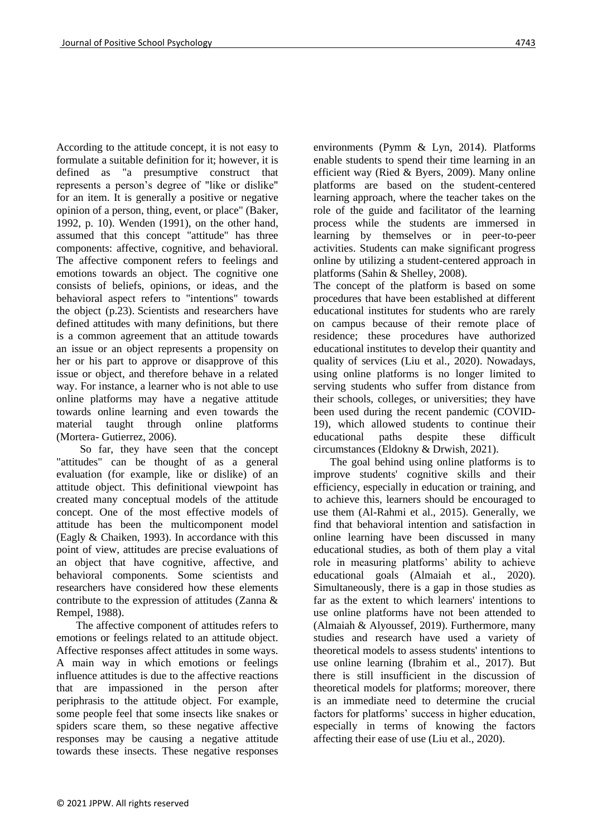According to the attitude concept, it is not easy to formulate a suitable definition for it; however, it is defined as "a presumptive construct that represents a person's degree of "like or dislike" for an item. It is generally a positive or negative opinion of a person, thing, event, or place" (Baker, 1992, p. 10). Wenden (1991), on the other hand, assumed that this concept "attitude" has three components: affective, cognitive, and behavioral. The affective component refers to feelings and emotions towards an object. The cognitive one consists of beliefs, opinions, or ideas, and the behavioral aspect refers to "intentions" towards the object (p.23). Scientists and researchers have defined attitudes with many definitions, but there is a common agreement that an attitude towards an issue or an object represents a propensity on her or his part to approve or disapprove of this issue or object, and therefore behave in a related way. For instance, a learner who is not able to use online platforms may have a negative attitude towards online learning and even towards the material taught through online platforms (Mortera- Gutierrez, 2006).

 So far, they have seen that the concept "attitudes" can be thought of as a general evaluation (for example, like or dislike) of an attitude object. This definitional viewpoint has created many conceptual models of the attitude concept. One of the most effective models of attitude has been the multicomponent model (Eagly & Chaiken, 1993). In accordance with this point of view, attitudes are precise evaluations of an object that have cognitive, affective, and behavioral components. Some scientists and researchers have considered how these elements contribute to the expression of attitudes (Zanna & Rempel, 1988).

 The affective component of attitudes refers to emotions or feelings related to an attitude object. Affective responses affect attitudes in some ways. A main way in which emotions or feelings influence attitudes is due to the affective reactions that are impassioned in the person after periphrasis to the attitude object. For example, some people feel that some insects like snakes or spiders scare them, so these negative affective responses may be causing a negative attitude towards these insects. These negative responses

environments (Pymm & Lyn, 2014). Platforms enable students to spend their time learning in an efficient way (Ried & Byers, 2009). Many online platforms are based on the student-centered learning approach, where the teacher takes on the role of the guide and facilitator of the learning process while the students are immersed in learning by themselves or in peer-to-peer activities. Students can make significant progress online by utilizing a student-centered approach in platforms (Sahin & Shelley, 2008).

The concept of the platform is based on some procedures that have been established at different educational institutes for students who are rarely on campus because of their remote place of residence; these procedures have authorized educational institutes to develop their quantity and quality of services (Liu et al., 2020). Nowadays, using online platforms is no longer limited to serving students who suffer from distance from their schools, colleges, or universities; they have been used during the recent pandemic (COVID-19), which allowed students to continue their educational paths despite these difficult circumstances (Eldokny & Drwish, 2021).

 The goal behind using online platforms is to improve students' cognitive skills and their efficiency, especially in education or training, and to achieve this, learners should be encouraged to use them (Al-Rahmi et al., 2015). Generally, we find that behavioral intention and satisfaction in online learning have been discussed in many educational studies, as both of them play a vital role in measuring platforms' ability to achieve educational goals (Almaiah et al., 2020). Simultaneously, there is a gap in those studies as far as the extent to which learners' intentions to use online platforms have not been attended to (Almaiah & Alyoussef, 2019). Furthermore, many studies and research have used a variety of theoretical models to assess students' intentions to use online learning (Ibrahim et al., 2017). But there is still insufficient in the discussion of theoretical models for platforms; moreover, there is an immediate need to determine the crucial factors for platforms' success in higher education, especially in terms of knowing the factors affecting their ease of use (Liu et al., 2020).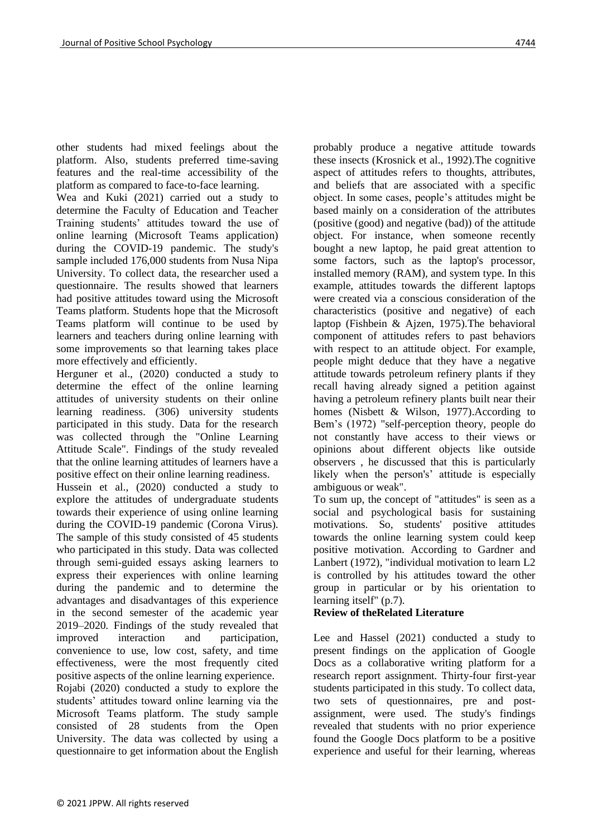other students had mixed feelings about the platform. Also, students preferred time-saving features and the real-time accessibility of the platform as compared to face-to-face learning.

Wea and Kuki (2021) carried out a study to determine the Faculty of Education and Teacher Training students' attitudes toward the use of online learning (Microsoft Teams application) during the COVID-19 pandemic. The study's sample included 176,000 students from Nusa Nipa University. To collect data, the researcher used a questionnaire. The results showed that learners had positive attitudes toward using the Microsoft Teams platform. Students hope that the Microsoft Teams platform will continue to be used by learners and teachers during online learning with some improvements so that learning takes place more effectively and efficiently.

Herguner et al., (2020) conducted a study to determine the effect of the online learning attitudes of university students on their online learning readiness. (306) university students participated in this study. Data for the research was collected through the "Online Learning Attitude Scale". Findings of the study revealed that the online learning attitudes of learners have a positive effect on their online learning readiness.

Hussein et al., (2020) conducted a study to explore the attitudes of undergraduate students towards their experience of using online learning during the COVID-19 pandemic (Corona Virus). The sample of this study consisted of 45 students who participated in this study. Data was collected through semi-guided essays asking learners to express their experiences with online learning during the pandemic and to determine the advantages and disadvantages of this experience in the second semester of the academic year 2019–2020. Findings of the study revealed that improved interaction and participation, convenience to use, low cost, safety, and time effectiveness, were the most frequently cited positive aspects of the online learning experience. Rojabi (2020) conducted a study to explore the students' attitudes toward online learning via the Microsoft Teams platform. The study sample consisted of 28 students from the Open University. The data was collected by using a questionnaire to get information about the English

probably produce a negative attitude towards these insects (Krosnick et al., 1992).The cognitive aspect of attitudes refers to thoughts, attributes, and beliefs that are associated with a specific object. In some cases, people's attitudes might be based mainly on a consideration of the attributes (positive (good) and negative (bad)) of the attitude object. For instance, when someone recently bought a new laptop, he paid great attention to some factors, such as the laptop's processor, installed memory (RAM), and system type. In this example, attitudes towards the different laptops were created via a conscious consideration of the characteristics (positive and negative) of each laptop (Fishbein & Ajzen, 1975).The behavioral component of attitudes refers to past behaviors with respect to an attitude object. For example, people might deduce that they have a negative attitude towards petroleum refinery plants if they recall having already signed a petition against having a petroleum refinery plants built near their homes (Nisbett & Wilson, 1977).According to Bem's (1972) "self-perception theory, people do not constantly have access to their views or opinions about different objects like outside observers , he discussed that this is particularly likely when the person's' attitude is especially ambiguous or weak".

To sum up, the concept of "attitudes" is seen as a social and psychological basis for sustaining motivations. So, students' positive attitudes towards the online learning system could keep positive motivation. According to Gardner and Lanbert (1972), "individual motivation to learn L2 is controlled by his attitudes toward the other group in particular or by his orientation to learning itself" (p.7).

# **Review of theRelated Literature**

Lee and Hassel (2021) conducted a study to present findings on the application of Google Docs as a collaborative writing platform for a research report assignment. Thirty-four first-year students participated in this study. To collect data, two sets of questionnaires, pre and postassignment, were used. The study's findings revealed that students with no prior experience found the Google Docs platform to be a positive experience and useful for their learning, whereas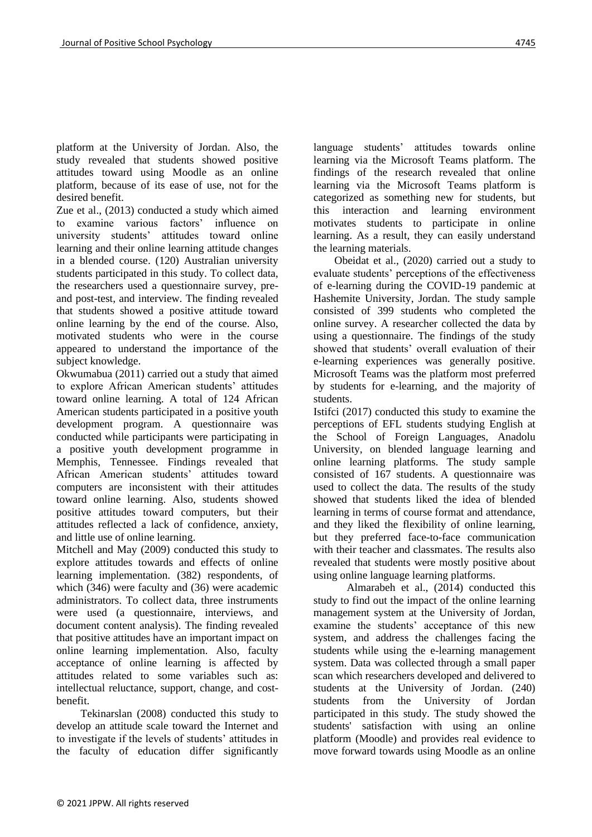platform at the University of Jordan. Also, the study revealed that students showed positive attitudes toward using Moodle as an online platform, because of its ease of use, not for the desired benefit.

Zue et al., (2013) conducted a study which aimed to examine various factors' influence on university students' attitudes toward online learning and their online learning attitude changes in a blended course. (120) Australian university students participated in this study. To collect data, the researchers used a questionnaire survey, preand post-test, and interview. The finding revealed that students showed a positive attitude toward online learning by the end of the course. Also, motivated students who were in the course appeared to understand the importance of the subject knowledge.

Okwumabua (2011) carried out a study that aimed to explore African American students' attitudes toward online learning. A total of 124 African American students participated in a positive youth development program. A questionnaire was conducted while participants were participating in a positive youth development programme in Memphis, Tennessee. Findings revealed that African American students' attitudes toward computers are inconsistent with their attitudes toward online learning. Also, students showed positive attitudes toward computers, but their attitudes reflected a lack of confidence, anxiety, and little use of online learning.

Mitchell and May (2009) conducted this study to explore attitudes towards and effects of online learning implementation. (382) respondents, of which (346) were faculty and (36) were academic administrators. To collect data, three instruments were used (a questionnaire, interviews, and document content analysis). The finding revealed that positive attitudes have an important impact on online learning implementation. Also, faculty acceptance of online learning is affected by attitudes related to some variables such as: intellectual reluctance, support, change, and costbenefit.

 Tekinarslan (2008) conducted this study to develop an attitude scale toward the Internet and to investigate if the levels of students' attitudes in the faculty of education differ significantly language students' attitudes towards online learning via the Microsoft Teams platform. The findings of the research revealed that online learning via the Microsoft Teams platform is categorized as something new for students, but this interaction and learning environment motivates students to participate in online learning. As a result, they can easily understand the learning materials.

 Obeidat et al., (2020) carried out a study to evaluate students' perceptions of the effectiveness of e-learning during the COVID-19 pandemic at Hashemite University, Jordan. The study sample consisted of 399 students who completed the online survey. A researcher collected the data by using a questionnaire. The findings of the study showed that students' overall evaluation of their e-learning experiences was generally positive. Microsoft Teams was the platform most preferred by students for e-learning, and the majority of students.

Istifci (2017) conducted this study to examine the perceptions of EFL students studying English at the School of Foreign Languages, Anadolu University, on blended language learning and online learning platforms. The study sample consisted of 167 students. A questionnaire was used to collect the data. The results of the study showed that students liked the idea of blended learning in terms of course format and attendance, and they liked the flexibility of online learning, but they preferred face-to-face communication with their teacher and classmates. The results also revealed that students were mostly positive about using online language learning platforms.

 Almarabeh et al., (2014) conducted this study to find out the impact of the online learning management system at the University of Jordan, examine the students' acceptance of this new system, and address the challenges facing the students while using the e-learning management system. Data was collected through a small paper scan which researchers developed and delivered to students at the University of Jordan. (240) students from the University of Jordan participated in this study. The study showed the students' satisfaction with using an online platform (Moodle) and provides real evidence to move forward towards using Moodle as an online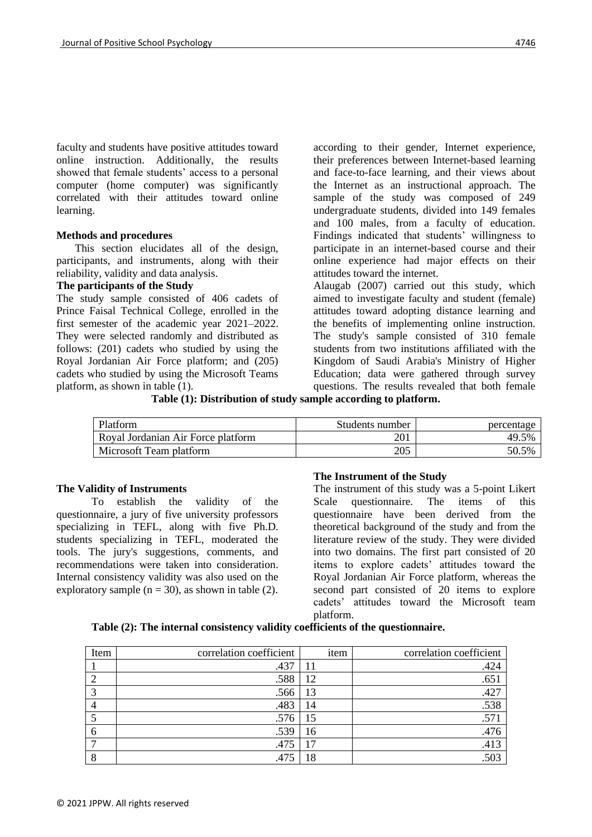faculty and students have positive attitudes toward online instruction. Additionally, the results showed that female students' access to a personal computer (home computer) was significantly correlated with their attitudes toward online learning.

#### **Methods and procedures**

 This section elucidates all of the design, participants, and instruments, along with their reliability, validity and data analysis.

#### **The participants of the Study**

The study sample consisted of 406 cadets of Prince Faisal Technical College, enrolled in the first semester of the academic year 2021–2022. They were selected randomly and distributed as follows: (201) cadets who studied by using the Royal Jordanian Air Force platform; and (205) cadets who studied by using the Microsoft Teams platform, as shown in table (1).

according to their gender, Internet experience, their preferences between Internet-based learning and face-to-face learning, and their views about the Internet as an instructional approach. The sample of the study was composed of 249 undergraduate students, divided into 149 females and 100 males, from a faculty of education. Findings indicated that students' willingness to participate in an internet-based course and their online experience had major effects on their attitudes toward the internet.

Alaugab (2007) carried out this study, which aimed to investigate faculty and student (female) attitudes toward adopting distance learning and the benefits of implementing online instruction. The study's sample consisted of 310 female students from two institutions affiliated with the Kingdom of Saudi Arabia's Ministry of Higher Education; data were gathered through survey questions. The results revealed that both female

**Table (1): Distribution of study sample according to platform.**

| Platform                           | Students number | percentage |
|------------------------------------|-----------------|------------|
| Royal Jordanian Air Force platform | 201             | 49.5%      |
| Microsoft Team platform            | 205             | 50.5%      |

#### **The Validity of Instruments**

To establish the validity of the questionnaire, a jury of five university professors specializing in TEFL, along with five Ph.D. students specializing in TEFL, moderated the tools. The jury's suggestions, comments, and recommendations were taken into consideration. Internal consistency validity was also used on the exploratory sample ( $n = 30$ ), as shown in table (2).

#### **The Instrument of the Study**

The instrument of this study was a 5-point Likert Scale questionnaire. The items of this questionnaire have been derived from the theoretical background of the study and from the literature review of the study. They were divided into two domains. The first part consisted of 20 items to explore cadets' attitudes toward the Royal Jordanian Air Force platform, whereas the second part consisted of 20 items to explore cadets' attitudes toward the Microsoft team platform.

#### **Table (2): The internal consistency validity coefficients of the questionnaire.**

| Item | correlation coefficient | item | correlation coefficient |
|------|-------------------------|------|-------------------------|
|      | .437                    | 11   | .424                    |
|      | .588                    | 12   | .651                    |
| っ    | .566                    | 13   | .427                    |
|      | .483                    | 14   | .538                    |
|      | .576                    | 15   | .571                    |
| 6    | .539                    | 16   | .476                    |
|      | .475                    | 17   | .413                    |
| o    |                         | 18   |                         |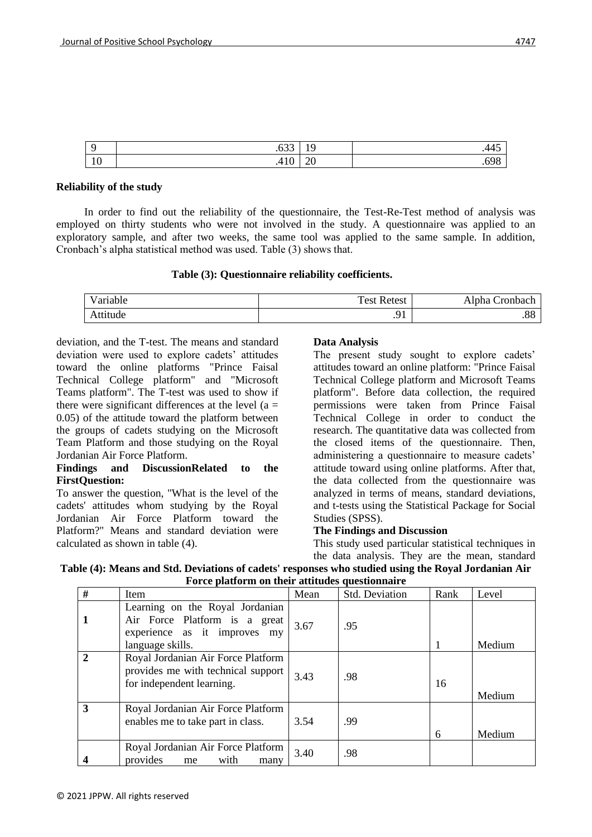| $\Omega$       | $\sim$ $\sim$   | $\sim$        | .    |
|----------------|-----------------|---------------|------|
|                | .033            | . .           | .44J |
| 1 <sub>0</sub> | 10 <sup>1</sup> | $\sim$ $\sim$ | .698 |
| 1 V            | .4 I U          | $\omega$      |      |

### **Reliability of the study**

In order to find out the reliability of the questionnaire, the Test-Re-Test method of analysis was employed on thirty students who were not involved in the study. A questionnaire was applied to an exploratory sample, and after two weeks, the same tool was applied to the same sample. In addition, Cronbach's alpha statistical method was used. Table (3) shows that.

### **Table (3): Questionnaire reliability coefficients.**

| Variable | <b>Test Retest</b> | Alpha Cronbach |
|----------|--------------------|----------------|
| Attitude | $\cdot$            | ററ<br>.00      |

[deviation, and the T-test. The means and standard](https://ludwig.guru/s/there+were+significant+differences)  [deviation were used to explore cadets' attitudes](https://ludwig.guru/s/there+were+significant+differences)  [toward the online platforms "Prince Faisal](https://ludwig.guru/s/there+were+significant+differences)  [Technical College platform" and "Microsoft](https://ludwig.guru/s/there+were+significant+differences)  [Teams platform". The T-test was used to show if](https://ludwig.guru/s/there+were+significant+differences)  there were significant differences at the level  $(a =$ [0.05\) of the attitude toward the platform between](https://ludwig.guru/s/there+were+significant+differences)  [the groups of cadets studying on the Microsoft](https://ludwig.guru/s/there+were+significant+differences)  [Team Platform and those studying on the Royal](https://ludwig.guru/s/there+were+significant+differences)  [Jordanian Air Force Platform.](https://ludwig.guru/s/there+were+significant+differences)

### **Findings [and DiscussionRelated to the](https://ludwig.guru/s/there+were+significant+differences)  [FirstQuestion:](https://ludwig.guru/s/there+were+significant+differences)**

To answer the question, "What is the level of the cadets' attitudes whom studying by the Royal Jordanian Air Force Platform toward the Platform?" Means and standard deviation were calculated as shown in table (4).

# **Data Analysis**

The present study sought to explore cadets' attitudes toward an online platform: "Prince Faisal Technical College platform and Microsoft Teams platform". Before data collection, the required permissions were taken from Prince Faisal Technical College in order to conduct the research. The quantitative data was collected from the closed items of the questionnaire. Then, administering a questionnaire to measure cadets' attitude toward using online platforms. After that, the data collected from the questionnaire was analyzed in terms of means, standard deviations, and t-tests using the Statistical Package for Social Studies (SPSS).

### **The Findings and Discussion**

[This study used particular statistical techniques in](https://ludwig.guru/s/there+were+significant+differences)  [the data analysis. They are the mean, standard](https://ludwig.guru/s/there+were+significant+differences) 

| Table (4): Means and Std. Deviations of cadets' responses who studied using the Royal Jordanian Air |                                                 |  |  |
|-----------------------------------------------------------------------------------------------------|-------------------------------------------------|--|--|
|                                                                                                     | Force platform on their attitudes questionnaire |  |  |

| #              | Item                                                                                                                 | Mean | Std. Deviation | Rank | Level  |
|----------------|----------------------------------------------------------------------------------------------------------------------|------|----------------|------|--------|
|                | Learning on the Royal Jordanian<br>Air Force Platform is a great<br>experience as it improves my<br>language skills. | 3.67 | .95            |      | Medium |
| $\overline{2}$ | Royal Jordanian Air Force Platform<br>provides me with technical support<br>for independent learning.                | 3.43 | .98            | 16   | Medium |
| 3              | Royal Jordanian Air Force Platform<br>enables me to take part in class.                                              | 3.54 | .99            | 6    | Medium |
|                | Royal Jordanian Air Force Platform<br>provides<br>with<br>me<br>many                                                 | 3.40 | .98            |      |        |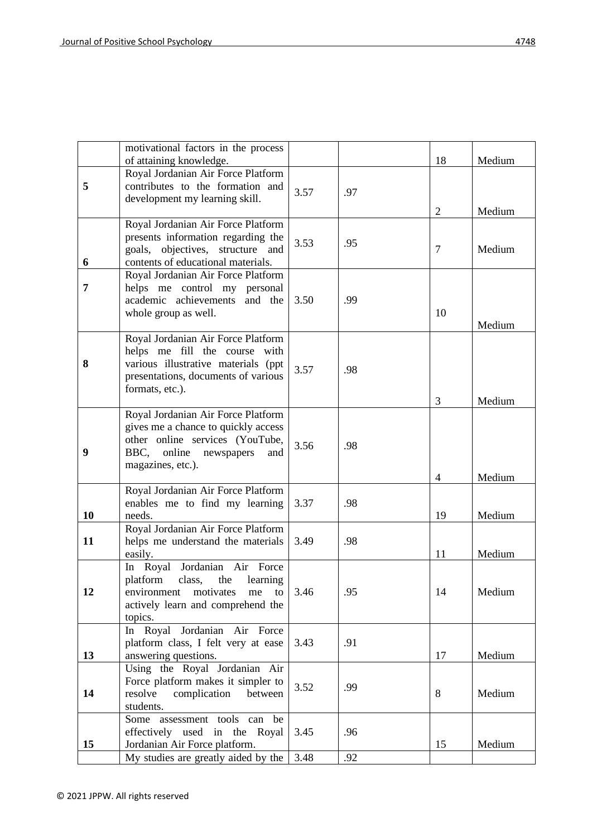|    | motivational factors in the process                                                                                                                                   |      |     |                |        |
|----|-----------------------------------------------------------------------------------------------------------------------------------------------------------------------|------|-----|----------------|--------|
|    | of attaining knowledge.                                                                                                                                               |      |     | 18             | Medium |
| 5  | Royal Jordanian Air Force Platform<br>contributes to the formation and<br>development my learning skill.                                                              | 3.57 | .97 | 2              | Medium |
| 6  | Royal Jordanian Air Force Platform<br>presents information regarding the<br>goals, objectives, structure and<br>contents of educational materials.                    | 3.53 | .95 | 7              | Medium |
| 7  | Royal Jordanian Air Force Platform<br>helps me control my personal<br>academic achievements and the<br>whole group as well.                                           | 3.50 | .99 | 10             | Medium |
| 8  | Royal Jordanian Air Force Platform<br>helps me fill the course with<br>various illustrative materials (ppt<br>presentations, documents of various<br>formats, etc.).  | 3.57 | .98 | 3              | Medium |
| 9  | Royal Jordanian Air Force Platform<br>gives me a chance to quickly access<br>other online services (YouTube,<br>BBC,<br>online newspapers<br>and<br>magazines, etc.). | 3.56 | .98 | $\overline{4}$ | Medium |
| 10 | Royal Jordanian Air Force Platform<br>enables me to find my learning<br>needs.                                                                                        | 3.37 | .98 | 19             | Medium |
| 11 | Royal Jordanian Air Force Platform<br>helps me understand the materials<br>easily.                                                                                    | 3.49 | .98 | 11             | Medium |
| 12 | In Royal Jordanian Air Force<br>platform<br>class,<br>the<br>learning<br>environment<br>motivates<br>me<br>to<br>actively learn and comprehend the<br>topics.         | 3.46 | .95 | 14             | Medium |
| 13 | In Royal Jordanian Air Force<br>platform class, I felt very at ease<br>answering questions.                                                                           | 3.43 | .91 | 17             | Medium |
| 14 | Using the Royal Jordanian Air<br>Force platform makes it simpler to<br>resolve<br>complication<br>between<br>students.                                                | 3.52 | .99 | 8              | Medium |
| 15 | Some assessment tools can be<br>effectively used in the Royal<br>Jordanian Air Force platform.                                                                        | 3.45 | .96 | 15             | Medium |
|    | My studies are greatly aided by the                                                                                                                                   | 3.48 | .92 |                |        |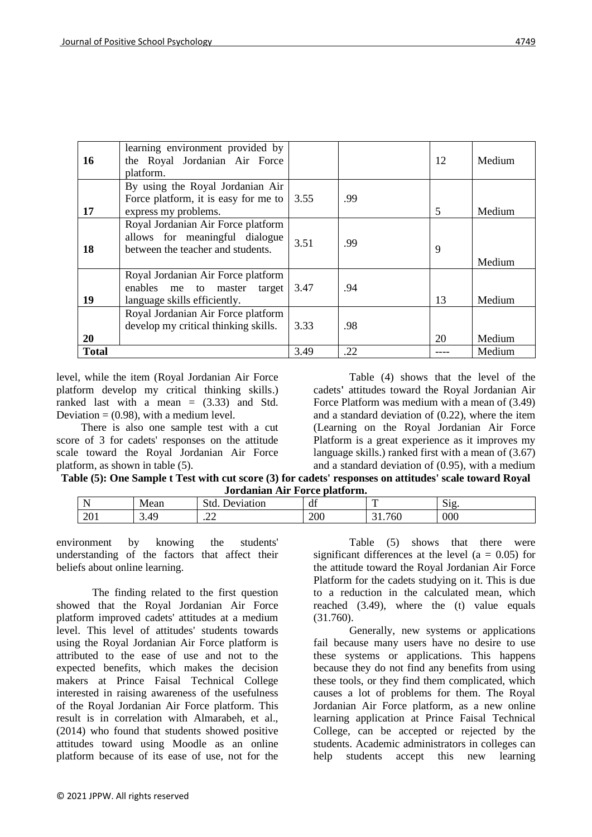| 16           | learning environment provided by<br>the Royal Jordanian Air Force<br>platform.                            |      |     | 12 | Medium |
|--------------|-----------------------------------------------------------------------------------------------------------|------|-----|----|--------|
| 17           | By using the Royal Jordanian Air<br>Force platform, it is easy for me to<br>express my problems.          | 3.55 | .99 | 5  | Medium |
| 18           | Royal Jordanian Air Force platform<br>allows for meaningful dialogue<br>between the teacher and students. | 3.51 | .99 | 9  | Medium |
| 19           | Royal Jordanian Air Force platform<br>enables me to master<br>target<br>language skills efficiently.      | 3.47 | .94 | 13 | Medium |
| <b>20</b>    | Royal Jordanian Air Force platform<br>develop my critical thinking skills.                                | 3.33 | .98 | 20 | Medium |
| <b>Total</b> |                                                                                                           | 3.49 | .22 |    | Medium |

level, while the item (Royal Jordanian Air Force platform develop my critical thinking skills.) ranked last with a mean  $=$  (3.33) and Std. Deviation  $= (0.98)$ , with a medium level.

 There is also one sample test with a cut score of 3 for cadets' responses on the attitude scale toward the Royal Jordanian Air Force platform, as shown in table (5).

Table (4) shows that the level of the cadets**'** attitudes toward the Royal Jordanian Air Force Platform was medium with a mean of (3.49) and a standard deviation of (0.22), where the item (Learning on the Royal Jordanian Air Force Platform is a great experience as it improves my language skills.) ranked first with a mean of (3.67) and a standard deviation of (0.95), with a medium

**Table (5): One Sample t Test with cut score (3) for cadets' responses on attitudes' scale toward Royal Jordanian Air Force platform.**

| - -<br>N | M<br>lean   | ∶frd<br>°10n<br>v1at<br>ימו | $\sim$<br>чı |               | r.<br>$\mathbf{5}1\mathbf{g}$ |
|----------|-------------|-----------------------------|--------------|---------------|-------------------------------|
| 201      | ΛQ<br>ر ۱۰۳ | $\sim$<br>. 22              | 200          | $\sim$<br>'6U | 000                           |

environment by knowing the students' understanding of the factors that affect their beliefs about online learning.

The finding related to the first question showed that the Royal Jordanian Air Force platform improved cadets' attitudes at a medium level. This level of attitudes' students towards using the Royal Jordanian Air Force platform is attributed to the ease of use and not to the expected benefits, which makes the decision makers at Prince Faisal Technical College interested in raising awareness of the usefulness of the Royal Jordanian Air Force platform. This result is in correlation with Almarabeh, et al., (2014) who found that students showed positive attitudes toward using Moodle as an online platform because of its ease of use, not for the

Table (5) shows that there were significant differences at the level ( $a = 0.05$ ) for the attitude toward the Royal Jordanian Air Force Platform for the cadets studying on it. This is due to a reduction in the calculated mean, which reached (3.49), where the (t) value equals (31.760).

Generally, new systems or applications fail because many users have no desire to use these systems or applications. This happens because they do not find any benefits from using these tools, or they find them complicated, which causes a lot of problems for them. The Royal Jordanian Air Force platform, as a new online learning application at Prince Faisal Technical College, can be accepted or rejected by the students. Academic administrators in colleges can help students accept this new learning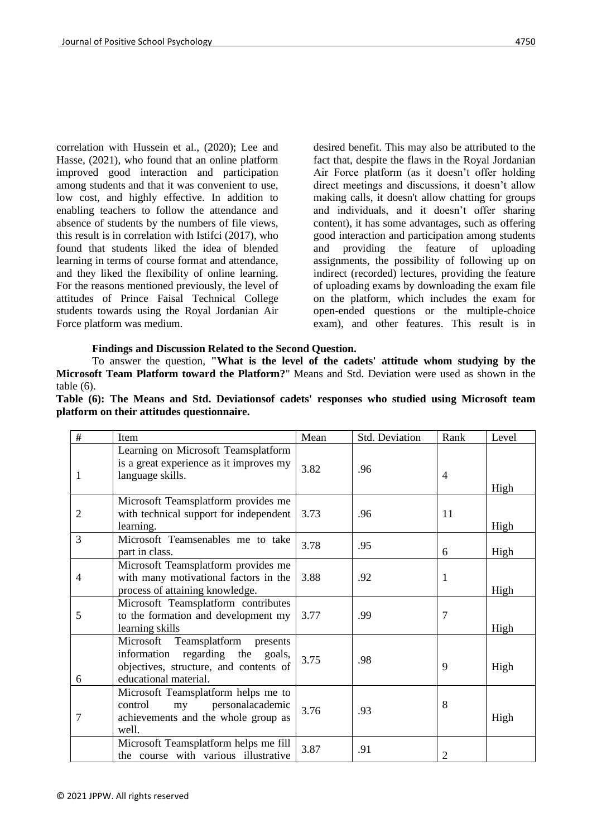correlation with Hussein et al., (2020); Lee and Hasse, (2021), who found that an online platform improved good interaction and participation among students and that it was convenient to use, low cost, and highly effective. In addition to enabling teachers to follow the attendance and absence of students by the numbers of file views, this result is in correlation with Istifci (2017), who found that students liked the idea of blended learning in terms of course format and attendance, and they liked the flexibility of online learning. For the reasons mentioned previously, the level of attitudes of Prince Faisal Technical College students towards using the Royal Jordanian Air Force platform was medium.

desired benefit. This may also be attributed to the fact that, despite the flaws in the Royal Jordanian Air Force platform (as it doesn't offer holding direct meetings and discussions, it doesn't allow making calls, it doesn't allow chatting for groups and individuals, and it doesn't offer sharing content), it has some advantages, such as offering good interaction and participation among students and providing the feature of uploading assignments, the possibility of following up on indirect (recorded) lectures, providing the feature of uploading exams by downloading the exam file on the platform, which includes the exam for open-ended questions or the multiple-choice exam), and other features. This result is in

# **Findings and Discussion Related to the Second Question.**

To answer the question, **"What is the level of the cadets' attitude whom studying by the Microsoft Team Platform toward the Platform?**" Means and Std. Deviation were used as shown in the table (6).

|  |  | Table (6): The Means and Std. Deviations of cadets' responses who studied using Microsoft team |  |  |  |  |
|--|--|------------------------------------------------------------------------------------------------|--|--|--|--|
|  |  | platform on their attitudes questionnaire.                                                     |  |  |  |  |

| #              | Item                                                                                                                                                | Mean | Std. Deviation | Rank           | Level |
|----------------|-----------------------------------------------------------------------------------------------------------------------------------------------------|------|----------------|----------------|-------|
| 1              | Learning on Microsoft Teamsplatform<br>is a great experience as it improves my<br>language skills.                                                  | 3.82 | .96            | $\overline{4}$ | High  |
| $\overline{2}$ | Microsoft Teamsplatform provides me<br>with technical support for independent<br>learning.                                                          | 3.73 | .96            | 11             | High  |
| 3              | Microsoft Teamsenables me to take<br>part in class.                                                                                                 | 3.78 | .95            | 6              | High  |
| 4              | Microsoft Teamsplatform provides me<br>with many motivational factors in the<br>process of attaining knowledge.                                     | 3.88 | .92            | $\mathbf{1}$   | High  |
| 5              | Microsoft Teamsplatform contributes<br>to the formation and development my<br>learning skills                                                       | 3.77 | .99            | 7              | High  |
| 6              | Microsoft<br>Teamsplatform<br>presents<br>information<br>regarding the<br>goals,<br>objectives, structure, and contents of<br>educational material. | 3.75 | .98            | 9              | High  |
| 7              | Microsoft Teamsplatform helps me to<br>personalacademic<br>control<br>my<br>achievements and the whole group as<br>well.                            | 3.76 | .93            | 8              | High  |
|                | Microsoft Teamsplatform helps me fill<br>the course with various illustrative                                                                       | 3.87 | .91            | $\overline{2}$ |       |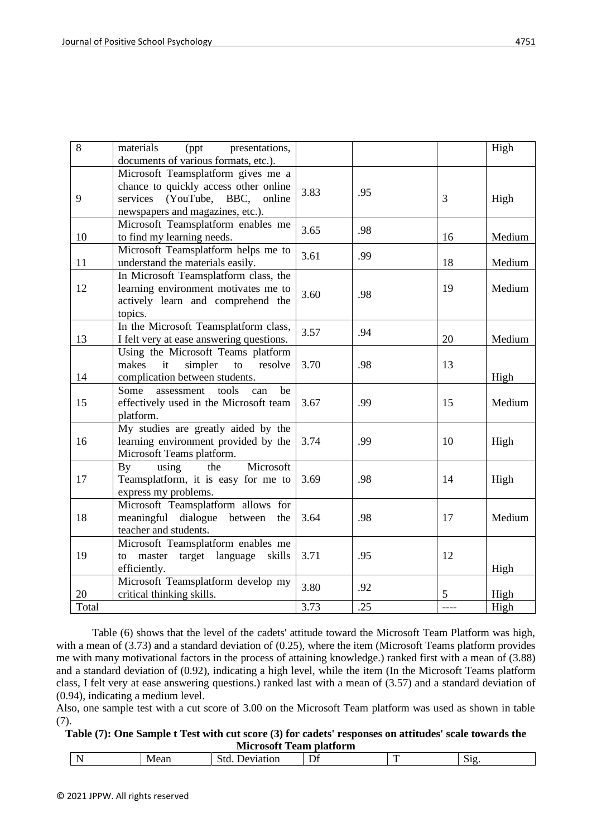| 8     | materials<br>(ppt<br>presentations,      |      |     |    | High   |
|-------|------------------------------------------|------|-----|----|--------|
|       | documents of various formats, etc.).     |      |     |    |        |
|       | Microsoft Teamsplatform gives me a       |      |     |    |        |
|       | chance to quickly access other online    | 3.83 | .95 |    |        |
| 9     | services (YouTube, BBC, online           |      |     | 3  | High   |
|       | newspapers and magazines, etc.).         |      |     |    |        |
|       | Microsoft Teamsplatform enables me       | 3.65 | .98 |    |        |
| 10    | to find my learning needs.               |      |     | 16 | Medium |
|       | Microsoft Teamsplatform helps me to      | 3.61 | .99 |    |        |
| 11    | understand the materials easily.         |      |     | 18 | Medium |
|       | In Microsoft Teamsplatform class, the    |      |     |    |        |
| 12    | learning environment motivates me to     | 3.60 | .98 | 19 | Medium |
|       | actively learn and comprehend the        |      |     |    |        |
|       | topics.                                  |      |     |    |        |
|       | In the Microsoft Teamsplatform class,    | 3.57 | .94 |    |        |
| 13    | I felt very at ease answering questions. |      |     | 20 | Medium |
|       | Using the Microsoft Teams platform       |      |     |    |        |
|       | simpler<br>makes<br>it<br>to<br>resolve  | 3.70 | .98 | 13 |        |
| 14    | complication between students.           |      |     |    | High   |
|       | Some<br>assessment<br>tools<br>can<br>be |      |     |    |        |
| 15    | effectively used in the Microsoft team   | 3.67 | .99 | 15 | Medium |
|       | platform.                                |      |     |    |        |
|       | My studies are greatly aided by the      |      |     |    |        |
| 16    | learning environment provided by the     | 3.74 | .99 | 10 | High   |
|       | Microsoft Teams platform.                |      |     |    |        |
|       | using<br>Microsoft<br>By<br>the          |      |     |    |        |
| 17    | Teamsplatform, it is easy for me to      | 3.69 | .98 | 14 | High   |
|       | express my problems.                     |      |     |    |        |
|       | Microsoft Teamsplatform allows for       |      |     |    |        |
| 18    | meaningful dialogue between<br>the       | 3.64 | .98 | 17 | Medium |
|       | teacher and students.                    |      |     |    |        |
|       | Microsoft Teamsplatform enables me       |      |     |    |        |
| 19    | master target language<br>skills<br>to   | 3.71 | .95 | 12 |        |
|       | efficiently.                             |      |     |    | High   |
|       | Microsoft Teamsplatform develop my       | 3.80 | .92 |    |        |
| 20    | critical thinking skills.                |      |     | 5  | High   |
| Total |                                          | 3.73 | .25 |    | High   |

Table (6) shows that the level of the cadets' attitude toward the Microsoft Team Platform was high, with a mean of (3.73) and a standard deviation of (0.25), where the item (Microsoft Teams platform provides me with many motivational factors in the process of attaining knowledge.) ranked first with a mean of (3.88) and a standard deviation of (0.92), indicating a high level, while the item (In the Microsoft Teams platform class, I felt very at ease answering questions.) ranked last with a mean of (3.57) and a standard deviation of (0.94), indicating a medium level.

Also, one sample test with a cut score of 3.00 on the Microsoft Team platform was used as shown in table (7).

# **Table (7): One Sample t Test with cut score (3) for cadets' responses on attitudes' scale towards the Microsoft Team platform**

| $\overline{\phantom{a}}$ | $\mathbf{w}$<br>$\frac{1}{2} \left( \frac{1}{2} \right) \left( \frac{1}{2} \right) \left( \frac{1}{2} \right)$ | וו<br> | -<br>$\overline{\phantom{a}}$ | - | -<br>.311 |
|--------------------------|----------------------------------------------------------------------------------------------------------------|--------|-------------------------------|---|-----------|
|--------------------------|----------------------------------------------------------------------------------------------------------------|--------|-------------------------------|---|-----------|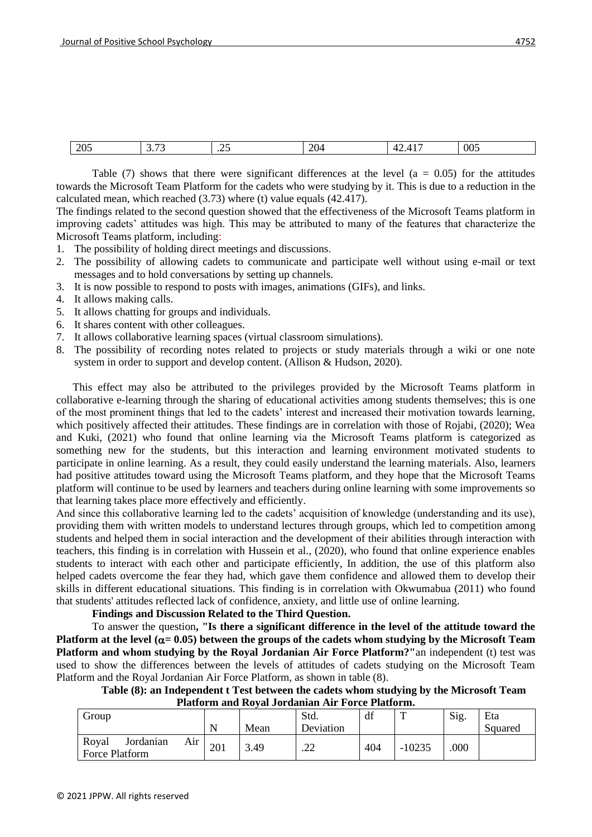| $\Delta \Omega$<br>$\sim$ $\sim$ | $\overline{\phantom{a}}$<br>. . | --<br>$-$<br>___ | $\Delta C$<br><br>$\overline{ }$ | 005 |
|----------------------------------|---------------------------------|------------------|----------------------------------|-----|
|                                  |                                 |                  |                                  |     |

Table (7) shows that there were significant differences at the level ( $a = 0.05$ ) for the attitudes towards the Microsoft Team Platform for the cadets who were studying by it. This is due to a reduction in the calculated mean, which reached (3.73) where (t) value equals (42.417).

The findings related to the second question showed that the effectiveness of the Microsoft Teams platform in improving cadets' attitudes was high. This may be attributed to many of the features that characterize the Microsoft Teams platform, including:

- 1. The possibility of holding direct meetings and discussions.
- 2. The possibility of allowing cadets to communicate and participate well without using e-mail or text messages and to hold conversations by setting up channels.
- 3. It is now possible to respond to posts with images, animations (GIFs), and links.
- 4. It allows making calls.
- 5. It allows chatting for groups and individuals.
- 6. It shares content with other colleagues.
- 7. It allows collaborative learning spaces (virtual classroom simulations).
- 8. The possibility of recording notes related to projects or study materials through a wiki or one note system in order to support and develop content. (Allison & Hudson, 2020).

 This effect may also be attributed to the privileges provided by the Microsoft Teams platform in collaborative e-learning through the sharing of educational activities among students themselves; this is one of the most prominent things that led to the cadets' interest and increased their motivation towards learning, which positively affected their attitudes. These findings are in correlation with those of Rojabi, (2020); Wea and Kuki, (2021) who found that online learning via the Microsoft Teams platform is categorized as something new for the students, but this interaction and learning environment motivated students to participate in online learning. As a result, they could easily understand the learning materials. Also, learners had positive attitudes toward using the Microsoft Teams platform, and they hope that the Microsoft Teams platform will continue to be used by learners and teachers during online learning with some improvements so that learning takes place more effectively and efficiently.

And since this collaborative learning led to the cadets' acquisition of knowledge (understanding and its use), providing them with written models to understand lectures through groups, which led to competition among students and helped them in social interaction and the development of their abilities through interaction with teachers, this finding is in correlation with Hussein et al., (2020), who found that online experience enables students to interact with each other and participate efficiently, In addition, the use of this platform also helped cadets overcome the fear they had, which gave them confidence and allowed them to develop their skills in different educational situations. This finding is in correlation with Okwumabua (2011) who found that students' attitudes reflected lack of confidence, anxiety, and little use of online learning.

**Findings and Discussion Related to the Third Question.**

To answer the question**, "Is there a significant difference in the level of the attitude toward the Platform at the level (** $\alpha$  **= 0.05)** between the groups of the cadets whom studying by the Microsoft Team **Platform and whom studying by the Royal Jordanian Air Force Platform?"**an independent (t) test was used to show the differences between the levels of attitudes of cadets studying on the Microsoft Team Platform and the Royal Jordanian Air Force Platform, as shown in table (8).

**Table (8): an Independent t Test between the cadets whom studying by the Microsoft Team Platform and Royal Jordanian Air Force Platform.**

| -----------------                           |     |      |           |     |          |      |         |  |  |
|---------------------------------------------|-----|------|-----------|-----|----------|------|---------|--|--|
| Group                                       |     |      | Std.      | df  | m        | Sig. | Eta     |  |  |
|                                             | N   | Mean | Deviation |     |          |      | Squared |  |  |
| Royal<br>Jordanian<br>Air<br>Force Platform | 201 | 3.49 | ററ<br>.∠∠ | 404 | $-10235$ | .000 |         |  |  |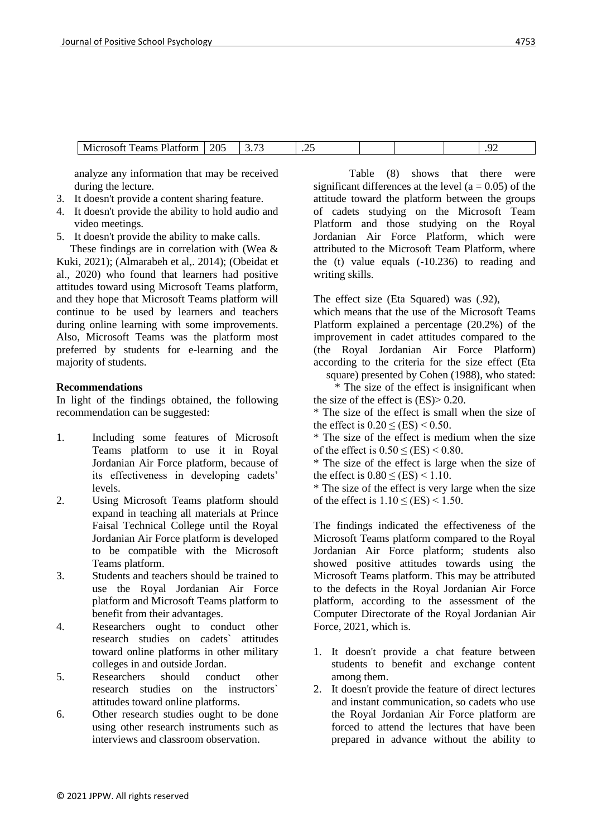analyze any information that may be received during the lecture.

- 3. It doesn't provide a content sharing feature.
- 4. It doesn't provide the ability to hold audio and video meetings.
- 5. It doesn't provide the ability to make calls.

 These findings are in correlation with (Wea & Kuki, 2021); (Almarabeh et al,. 2014); (Obeidat et al., 2020) who found that learners had positive attitudes toward using Microsoft Teams platform, and they hope that Microsoft Teams platform will continue to be used by learners and teachers during online learning with some improvements. Also, Microsoft Teams was the platform most preferred by students for e-learning and the majority of students.

# **Recommendations**

In light of the findings obtained, the following recommendation can be suggested:

- 1. Including some features of Microsoft Teams platform to use it in Royal Jordanian Air Force platform, because of its effectiveness in developing cadets' levels.
- 2. Using Microsoft Teams platform should expand in teaching all materials at Prince Faisal Technical College until the Royal Jordanian Air Force platform is developed to be compatible with the Microsoft Teams platform.
- 3. Students and teachers should be trained to use the Royal Jordanian Air Force platform and Microsoft Teams platform to benefit from their advantages.
- 4. Researchers ought to conduct other research studies on cadets` attitudes toward online platforms in other military colleges in and outside Jordan.
- 5. Researchers should conduct other research studies on the instructors` attitudes toward online platforms.
- 6. Other research studies ought to be done using other research instruments such as interviews and classroom observation.

Table (8) shows that there were significant differences at the level ( $a = 0.05$ ) of the attitude toward the platform between the groups of cadets studying on the Microsoft Team Platform and those studying on the Royal Jordanian Air Force Platform, which were attributed to the Microsoft Team Platform, where the (t) value equals (-10.236) to reading and writing skills.

The effect size (Eta Squared) was (.92),

which means that the use of the Microsoft Teams Platform explained a percentage (20.2%) of the improvement in cadet attitudes compared to the (the Royal Jordanian Air Force Platform) according to the criteria for the size effect (Eta square) presented by Cohen (1988), who stated:

\* The size of the effect is insignificant when the size of the effect is  $(ES)$   $> 0.20$ .

\* The size of the effect is small when the size of the effect is  $0.20 \leq$  (ES) < 0.50.

\* The size of the effect is medium when the size of the effect is  $0.50 \leq$  (ES) < 0.80.

\* The size of the effect is large when the size of the effect is  $0.80 \leq$  (ES) < 1.10.

\* The size of the effect is very large when the size of the effect is  $1.10 \leq$  (ES) < 1.50.

The findings indicated the effectiveness of the Microsoft Teams platform compared to the Royal Jordanian Air Force platform; students also showed positive attitudes towards using the Microsoft Teams platform. This may be attributed to the defects in the Royal Jordanian Air Force platform, according to the assessment of the Computer Directorate of the Royal Jordanian Air Force, 2021, which is.

- 1. It doesn't provide a chat feature between students to benefit and exchange content among them.
- 2. It doesn't provide the feature of direct lectures and instant communication, so cadets who use the Royal Jordanian Air Force platform are forced to attend the lectures that have been prepared in advance without the ability to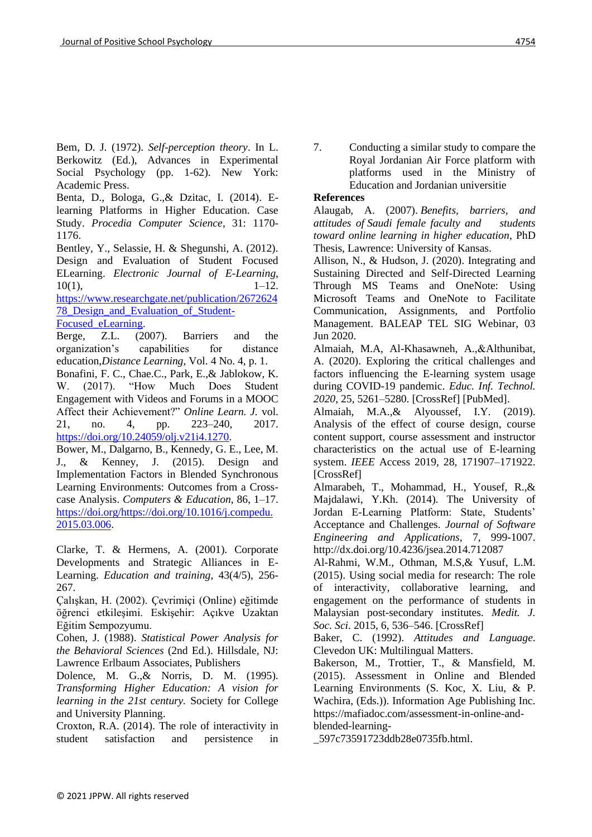Bem, D. J. (1972). *Self-perception theory*. In L. Berkowitz (Ed.), Advances in Experimental Social Psychology (pp. 1-62). New York: Academic Press.

Benta, D., Bologa, G.,& Dzitac, I. (2014). Elearning Platforms in Higher Education. Case Study. *Procedia Computer Science*, 31: 1170- 1176.

Bentley, Y., Selassie, H. & Shegunshi, A. (2012). Design and Evaluation of Student Focused ELearning. *Electronic Journal of E-Learning*,  $10(1),$  1–12.

[https://www.researchgate.net/publication/2672624](https://www.researchgate.net/publication/267262478_Design_and_Evaluation_of_Student-Focused_eLearning) [78\\_Design\\_and\\_Evaluation\\_of\\_Student-](https://www.researchgate.net/publication/267262478_Design_and_Evaluation_of_Student-Focused_eLearning)

[Focused\\_eLearning.](https://www.researchgate.net/publication/267262478_Design_and_Evaluation_of_Student-Focused_eLearning)

Berge, Z.L. (2007). Barriers and the organization's capabilities for distance education,*Distance Learning*, Vol. 4 No. 4, p. 1. Bonafini, F. C., Chae.C., Park, E.,& Jablokow, K. W. (2017). "How Much Does Student Engagement with Videos and Forums in a MOOC Affect their Achievement?" *Online Learn. J.* vol. 21, no. 4, pp. 223–240, 2017. [https://doi.org/10.24059/olj.v21i4.1270.](https://doi.org/10.24059/olj.v21i4.1270)

Bower, M., Dalgarno, B., Kennedy, G. E., Lee, M. J., & Kenney, J. (2015). Design and Implementation Factors in Blended Synchronous Learning Environments: Outcomes from a Crosscase Analysis. *Computers & Education*, 86, 1–17. [https://doi.org/https://doi.org/10.1016/j.compedu.](https://doi.org/https:/doi.org/10.1016/j.compedu.2015.03.006) [2015.03.006.](https://doi.org/https:/doi.org/10.1016/j.compedu.2015.03.006)

Clarke, T. & Hermens, A. (2001). Corporate Developments and Strategic Alliances in E-Learning. *Education and training*, 43(4/5), 256- 267.

Çalışkan, H. (2002). Çevrimiçi (Online) eğitimde öğrenci etkileşimi. Eskişehir: Açıkve Uzaktan Eğitim Sempozyumu.

Cohen, J. (1988). *Statistical Power Analysis for the Behavioral Sciences* (2nd Ed.). Hillsdale, NJ: Lawrence Erlbaum Associates, Publishers

Dolence, M. G.,& Norris, D. M. (1995). *Transforming Higher Education: A vision for learning in the 21st century.* Society for College and University Planning.

Croxton, R.A. (2014). The role of interactivity in student satisfaction and persistence in

7. Conducting a similar study to compare the Royal Jordanian Air Force platform with platforms used in the Ministry of Education and Jordanian universitie

# **References**

Alaugab, A. (2007). *Benefits, barriers, and attitudes of Saudi female faculty and students toward online learning in higher education*, PhD Thesis, Lawrence: University of Kansas.

Allison, N., & Hudson, J. (2020). Integrating and Sustaining Directed and Self-Directed Learning Through MS Teams and OneNote: Using Microsoft Teams and OneNote to Facilitate Communication, Assignments, and Portfolio Management. BALEAP TEL SIG Webinar, 03 Jun 2020.

Almaiah, M.A, Al-Khasawneh, A.,&Althunibat, A. (2020). Exploring the critical challenges and factors influencing the E-learning system usage during COVID-19 pandemic. *Educ. Inf. Technol. 2020*, 25, 5261–5280. [CrossRef] [PubMed].

Almaiah, M.A.,& Alyoussef, I.Y. (2019). Analysis of the effect of course design, course content support, course assessment and instructor characteristics on the actual use of E-learning system. *IEEE* Access 2019, 28, 171907–171922. [CrossRef]

Almarabeh, T., Mohammad, H., Yousef, R.,& Majdalawi, Y.Kh. (2014). The University of Jordan E-Learning Platform: State, Students' Acceptance and Challenges. *Journal of Software Engineering and Applications*, 7, 999-1007. http://dx.doi.org/10.4236/jsea.2014.712087

Al-Rahmi, W.M., Othman, M.S,& Yusuf, L.M. (2015). Using social media for research: The role of interactivity, collaborative learning, and engagement on the performance of students in Malaysian post-secondary institutes. *Medit. J. Soc. Sci*. 2015, 6, 536–546. [CrossRef]

Baker, C. (1992). *Attitudes and Language*. Clevedon UK: Multilingual Matters.

Bakerson, M., Trottier, T., & Mansfield, M. (2015). Assessment in Online and Blended Learning Environments (S. Koc, X. Liu, & P. Wachira, (Eds.)). Information Age Publishing Inc. https://mafiadoc.com/assessment-in-online-andblended-learning-

\_597c73591723ddb28e0735fb.html.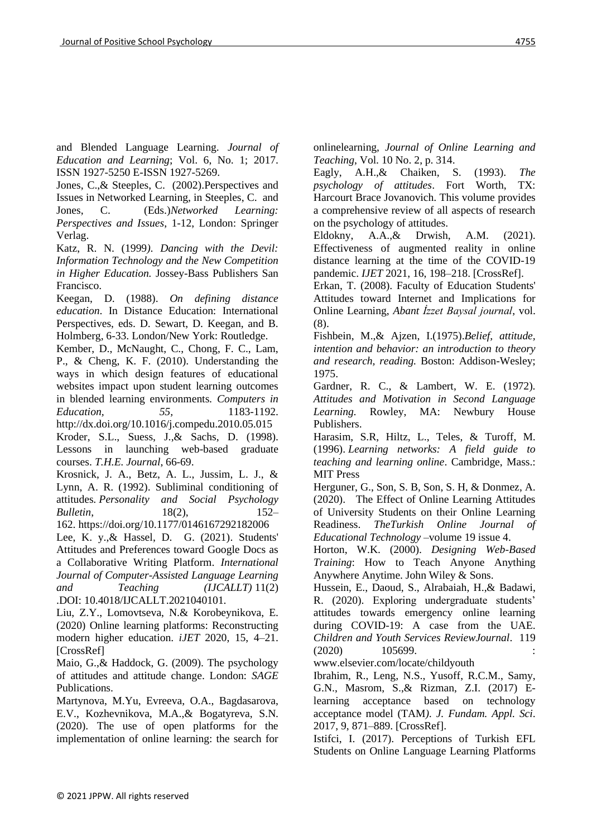and Blended Language Learning. *Journal of Education and Learning*; Vol. 6, No. 1; 2017. ISSN 1927-5250 E-ISSN 1927-5269.

Jones, C.,& Steeples, C. (2002).Perspectives and Issues in Networked Learning, in Steeples, C. and Jones, C. (Eds.)*Networked Learning: Perspectives and Issues*, 1-12, London: Springer Verlag.

Katz, R. N. (1999*). Dancing with the Devil: Information Technology and the New Competition in Higher Education.* Jossey-Bass Publishers San Francisco.

Keegan, D. (1988). *On defining distance education*. In Distance Education: International Perspectives, eds. D. Sewart, D. Keegan, and B. Holmberg, 6-33. London/New York: Routledge.

Kember, D., McNaught, C., Chong, F. C., Lam, P., & Cheng, K. F. (2010). Understanding the ways in which design features of educational websites impact upon student learning outcomes in blended learning environments*. Computers in Education, 55,* 1183-1192.

http://dx.doi.org/10.1016/j.compedu.2010.05.015 Kroder, S.L., Suess, J.,& Sachs, D. (1998). Lessons in launching web-based graduate courses. *T.H.E. Journal*, 66-69.

Krosnick, J. A., Betz, A. L., Jussim, L. J., & Lynn, A. R. (1992). Subliminal conditioning of attitudes*. Personality and Social Psychology Bulletin*, 18(2), 152–

162. [https://doi.org/10.1177/0146167292182006](https://psycnet.apa.org/doi/10.1177/0146167292182006) Lee, K. y.,& Hassel, D. G. (2021). Students' Attitudes and Preferences toward Google Docs as a Collaborative Writing Platform. *[International](https://www.igi-global.com/journal/international-journal-computer-assisted-language/41023)  [Journal of Computer-Assisted Language Learning](https://www.igi-global.com/journal/international-journal-computer-assisted-language/41023)  [and Teaching \(IJCALLT\)](https://www.igi-global.com/journal/international-journal-computer-assisted-language/41023)* 11(2) .DOI: 10.4018/IJCALLT.2021040101.

Liu, Z.Y., Lomovtseva, N.& Korobeynikova, E. (2020) Online learning platforms: Reconstructing modern higher education. *iJET* 2020, 15, 4–21. [CrossRef]

Maio, G.,& Haddock, G. (2009). The psychology of attitudes and attitude change. London: *SAGE* Publications.

Martynova, M.Yu, Evreeva, O.A., Bagdasarova, E.V., Kozhevnikova, M.A.,& Bogatyreva, S.N. (2020). The use of open platforms for the implementation of online learning: the search for onlinelearning, *Journal of Online Learning and Teaching*, Vol. 10 No. 2, p. 314.

Eagly, A.H.,& Chaiken, S. (1993). *The psychology of attitudes*. Fort Worth, TX: Harcourt Brace Jovanovich. This volume provides a comprehensive review of all aspects of research on the psychology of attitudes.

Eldokny, A.A.,& Drwish, A.M. (2021). Effectiveness of augmented reality in online distance learning at the time of the COVID-19 pandemic. *IJET* 2021, 16, 198–218. [CrossRef].

Erkan, T. (2008). Faculty of Education Students' Attitudes toward Internet and Implications for Online Learning, *Abant İzzet Baysal journal*, vol. (8).

Fishbein, M.,& Ajzen, I.(1975).*Belief, attitude, intention and behavior: an introduction to theory and research, reading.* Boston: Addison-Wesley; 1975.

Gardner, R. C., & Lambert, W. E. (1972). *Attitudes and Motivation in Second Language Learning.* Rowley, MA: Newbury House Publishers.

Harasim, S.R, Hiltz, L., Teles, & Turoff, M. (1996). *Learning networks: A field guide to teaching and learning online*. Cambridge, Mass.: MIT Press

Herguner, G., Son, S. B, Son, S. H, & Donmez, A. (2020). The Effect of Online Learning Attitudes of University Students on their Online Learning Readiness. *TheTurkish Online Journal of Educational Technology* –volume 19 issue 4.

Horton, W.K. (2000). *Designing Web-Based Training*: How to Teach Anyone Anything Anywhere Anytime. John Wiley & Sons.

Hussein, E., Daoud, S., Alrabaiah, H.,& Badawi, R. (2020). Exploring undergraduate students' attitudes towards emergency online learning during COVID-19: A case from the UAE. *Children and Youth Services ReviewJournal*. 119  $(2020)$  105699.

www.elsevier.com/locate/childyouth

Ibrahim, R., Leng, N.S., Yusoff, R.C.M., Samy, G.N., Masrom, S.,& Rizman, Z.I. (2017) Elearning acceptance based on technology acceptance model (TAM*). J. Fundam. Appl. Sci*. 2017, 9, 871–889. [CrossRef].

Istifci, I. (2017). Perceptions of Turkish EFL Students on Online Language Learning Platforms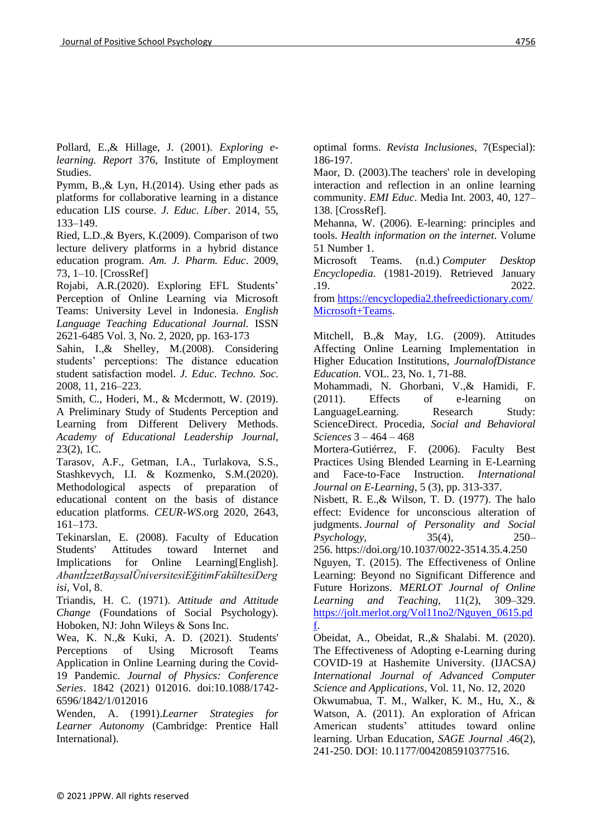Pollard, E.,& Hillage, J. (2001). *Exploring elearning. Report* 376, Institute of Employment Studies.

Pymm, B.,& Lyn, H.(2014). Using ether pads as platforms for collaborative learning in a distance education LIS course. *J. Educ. Liber*. 2014, 55, 133–149.

Ried, L.D.,& Byers, K.(2009). Comparison of two lecture delivery platforms in a hybrid distance education program. *Am. J. Pharm. Educ*. 2009, 73, 1–10. [CrossRef]

Rojabi, A.R.(2020). Exploring EFL Students' Perception of Online Learning via Microsoft Teams: University Level in Indonesia. *English Language Teaching Educational Journal.* ISSN 2621-6485 Vol. 3, No. 2, 2020, pp. 163-173

Sahin, I.,& Shelley, M.(2008). Considering students' perceptions: The distance education student satisfaction model. *J. Educ. Techno. Soc*. 2008, 11, 216–223.

Smith, C., Hoderi, M., & Mcdermott, W. (2019). A Preliminary Study of Students Perception and Learning from Different Delivery Methods. *Academy of Educational Leadership Journal*, 23(2), 1C.

Tarasov, A.F., Getman, I.A., Turlakova, S.S., Stashkevych, I.I. & Kozmenko, S.M.(2020). Methodological aspects of preparation of educational content on the basis of distance education platforms. *CEUR-WS*.org 2020, 2643, 161–173.

Tekinarslan, E. (2008). Faculty of Education Students' Attitudes toward Internet and Implications for Online Learning[English]. *AbantİzzetBaysalÜniversitesiEğitimFakültesiDerg isi*, Vol, 8.

Triandis, H. C. (1971). *Attitude and Attitude Change* (Foundations of Social Psychology). Hoboken, NJ: John Wileys & Sons Inc.

Wea, K. N.,& Kuki, A. D. (2021). Students' Perceptions of Using Microsoft Teams Application in Online Learning during the Covid-19 Pandemic*. Journal of Physics: Conference Series*. 1842 (2021) 012016. doi:10.1088/1742- 6596/1842/1/012016

Wenden, A. (1991).*Learner Strategies for Learner Autonomy* (Cambridge: Prentice Hall International).

optimal forms. *Revista Inclusiones*, 7(Especial): 186-197.

Maor, D. (2003).The teachers' role in developing interaction and reflection in an online learning community. *EMI Educ*. Media Int. 2003, 40, 127– 138. [CrossRef].

Mehanna, W. (2006). E-learning: principles and tools. *Health information on the internet*. Volume 51 Number 1.

Microsoft Teams. (n.d.) *Computer Desktop Encyclopedia*. (1981-2019). Retrieved January .19. 2022.

from [https://encyclopedia2.thefreedictionary.com/](https://encyclopedia2.thefreedictionary.com/Microsoft+Teams) [Microsoft+Teams.](https://encyclopedia2.thefreedictionary.com/Microsoft+Teams)

Mitchell, B.,& May, I.G. (2009). Attitudes Affecting Online Learning Implementation in Higher Education Institutions, *JournalofDistance Education.* VOL. 23, No. 1, 71-88.

Mohammadi, N. Ghorbani, V.,& Hamidi, F. (2011). Effects of e-learning on LanguageLearning. Research Study: ScienceDirect. Procedia, *Social and Behavioral Sciences* 3 – 464 – 468

Mortera-Gutiérrez, F. (2006). Faculty Best Practices Using Blended Learning in E-Learning and Face-to-Face Instruction. *International Journal on E-Learning*, 5 (3), pp. 313-337.

Nisbett, R. E.,& Wilson, T. D. (1977). The halo effect: Evidence for unconscious alteration of judgments. *Journal of Personality and Social Psychology*, 35(4), 250– 256. [https://doi.org/10.1037/0022-3514.35.4.250](https://psycnet.apa.org/doi/10.1037/0022-3514.35.4.250)

Nguyen, T. (2015). The Effectiveness of Online Learning: Beyond no Significant Difference and Future Horizons. *MERLOT Journal of Online Learning and Teaching*, 11(2), 309–329. [https://jolt.merlot.org/Vol11no2/Nguyen\\_0615.pd](https://jolt.merlot.org/Vol11no2/Nguyen_0615.pdf) [f.](https://jolt.merlot.org/Vol11no2/Nguyen_0615.pdf)

Obeidat, A., Obeidat, R.,& Shalabi. M. (2020). The Effectiveness of Adopting e-Learning during COVID-19 at Hashemite University. (IJACSA*) International Journal of Advanced Computer Science and Applications*, Vol. 11, No. 12, 2020 Okwumabua, T. M., Walker, K. M., Hu, X., & Watson, A. (2011). An exploration of African American students' attitudes toward online learning. Urban Education, *SAGE Journal* .46(2), 241-250. DOI: 10.1177/0042085910377516.